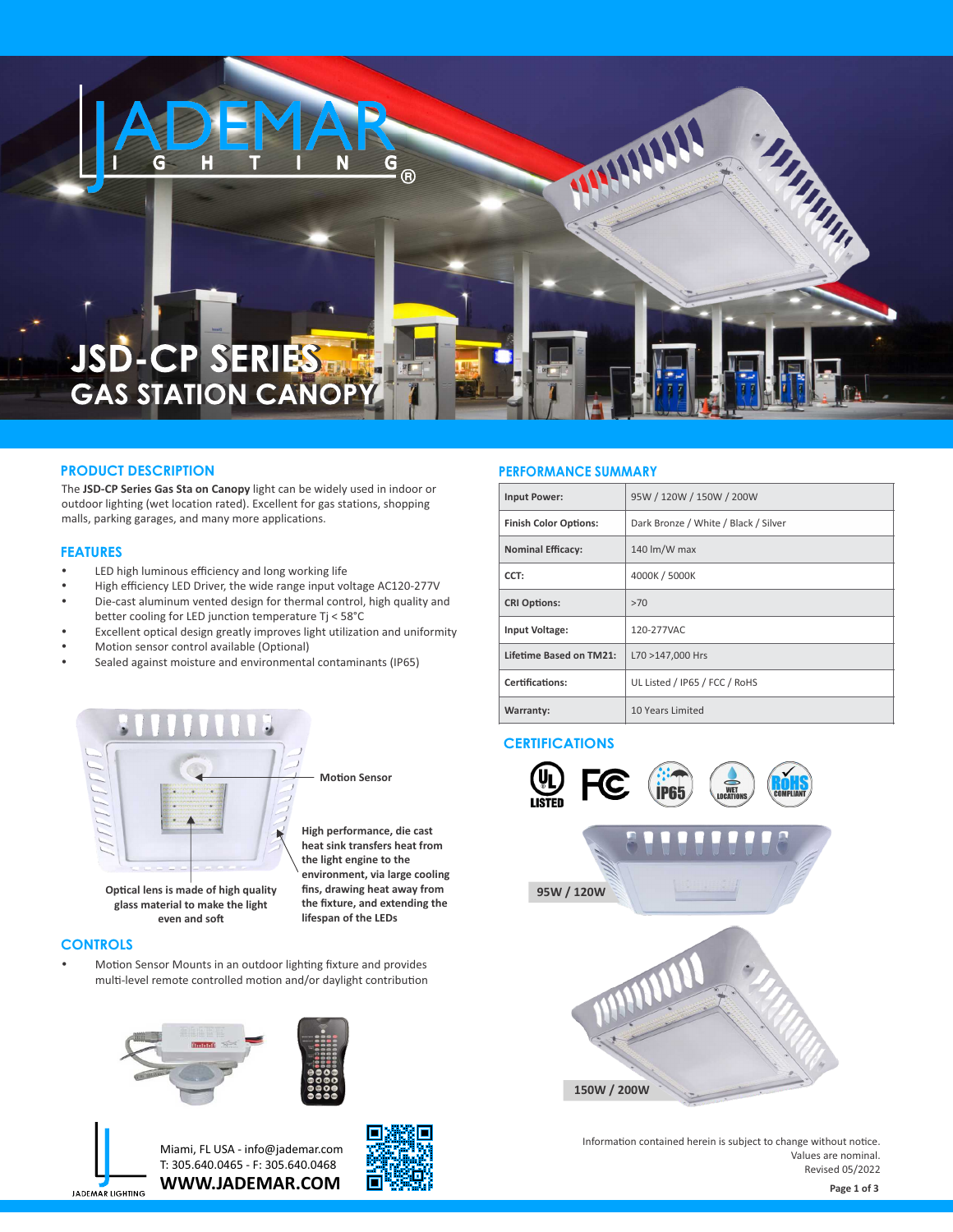

# **JSD-CP SERIES**

#### **PRODUCT DESCRIPTION**

The **JSD-CP Series Gas Sta on Canopy** light can be widely used in indoor or outdoor lighting (wet location rated). Excellent for gas stations, shopping malls, parking garages, and many more applications.

#### **FEATURES**

- LED high luminous efficiency and long working life
- High efficiency LED Driver, the wide range input voltage AC120-277V Die-cast aluminum vented design for thermal control, high quality and better cooling for LED junction temperature Tj < 58°C
- Excellent optical design greatly improves light utilization and uniformity
- Motion sensor control available (Optional)
- Sealed against moisture and environmental contaminants (IP65)



**Optical lens is made of high quality glass material to make the light even and so**

**Motion Sensor** 

**High performance, die cast heat sink transfers heat from the light engine to the environment, via large cooling fins, drawing heat away from the fixture, and extending the lifespan of the LEDs**

#### **CONTROLS**

Motion Sensor Mounts in an outdoor lighting fixture and provides multi-level remote controlled motion and/or daylight contribution







**WWW.JADEMAR.COM** Miami, FL USA - info@jademar.com T: 305.640.0465 - F: 305.640.0468



WHIPP

| <b>Input Power:</b>            | 95W / 120W / 150W / 200W             |  |  |
|--------------------------------|--------------------------------------|--|--|
| <b>Finish Color Options:</b>   | Dark Bronze / White / Black / Silver |  |  |
| <b>Nominal Efficacy:</b>       | 140 lm/W max                         |  |  |
| CCT:                           | 4000K / 5000K                        |  |  |
| <b>CRI Options:</b>            | >70                                  |  |  |
| <b>Input Voltage:</b>          | 120-277VAC                           |  |  |
| <b>Lifetime Based on TM21:</b> | L70 >147,000 Hrs                     |  |  |
| Certifications:                | UL Listed / IP65 / FCC / RoHS        |  |  |
| <b>Warranty:</b>               | 10 Years Limited                     |  |  |

**SIMPLY SIMPLE** 

#### **CERTIFICATIONS**



Information contained herein is subject to change without notice. Values are nominal. Revised 05/2022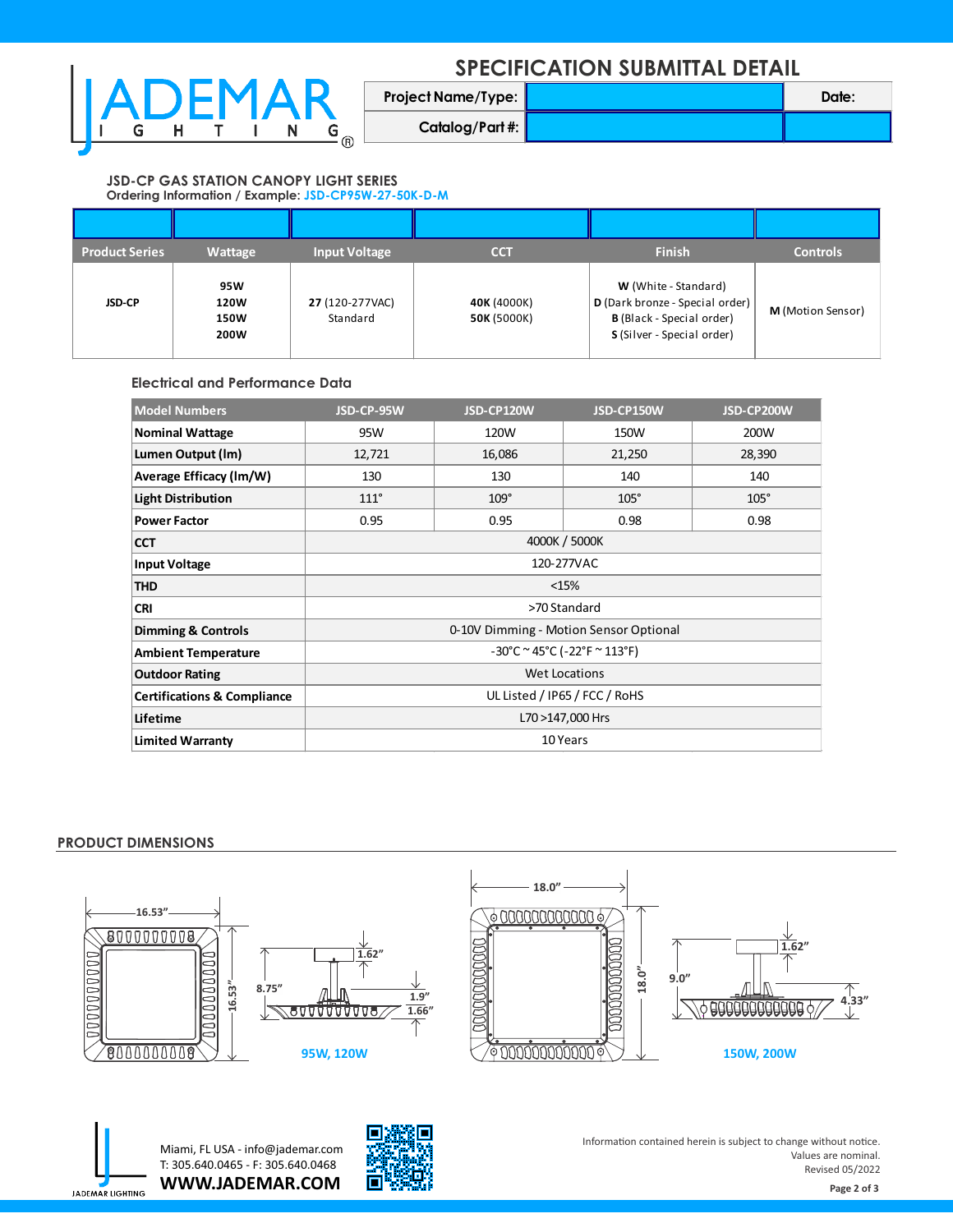## **SPECIFICATION SUBMITTAL DETAIL**



| <b>Project Name/Type:</b> | Date: |
|---------------------------|-------|
| Catalog/Part #:           |       |

#### **JSD-CP GAS STATION CANOPY LIGHT SERIES Ordering Information / Example: JSD-CP95W-27-50K-D-M**

| <b>Product Series</b> | Wattage                            | <b>Input Voltage</b>        | $cc\tau$                   | <b>Finish</b>                                                                                                             | <b>Controls</b>   |
|-----------------------|------------------------------------|-----------------------------|----------------------------|---------------------------------------------------------------------------------------------------------------------------|-------------------|
| <b>JSD-CP</b>         | 95W<br>120W<br><b>150W</b><br>200W | 27 (120-277VAC)<br>Standard | 40K (4000K)<br>50K (5000K) | W (White - Standard)<br>D (Dark bronze - Special order)<br><b>B</b> (Black - Special order)<br>S (Silver - Special order) | M (Motion Sensor) |

**Electrical and Performance Data**

| <b>Model Numbers</b>                   | JSD-CP-95W                                        | JSD-CP120W  | JSD-CP150W  | JSD-CP200W  |  |  |
|----------------------------------------|---------------------------------------------------|-------------|-------------|-------------|--|--|
| <b>Nominal Wattage</b>                 | 95W                                               | 120W        | 150W        | 200W        |  |  |
| Lumen Output (Im)                      | 12,721                                            | 16,086      | 21,250      | 28,390      |  |  |
| Average Efficacy (Im/W)                | 130                                               | 130         | 140         | 140         |  |  |
| <b>Light Distribution</b>              | $111^\circ$                                       | $109^\circ$ | $105^\circ$ | $105^\circ$ |  |  |
| <b>Power Factor</b>                    | 0.95                                              | 0.95        | 0.98        | 0.98        |  |  |
| <b>CCT</b>                             | 4000K / 5000K                                     |             |             |             |  |  |
| <b>Input Voltage</b>                   | 120-277VAC                                        |             |             |             |  |  |
| <b>THD</b>                             | <15%                                              |             |             |             |  |  |
| <b>CRI</b>                             | >70 Standard                                      |             |             |             |  |  |
| <b>Dimming &amp; Controls</b>          | 0-10V Dimming - Motion Sensor Optional            |             |             |             |  |  |
| <b>Ambient Temperature</b>             | $-30^{\circ}$ C ~ 45°C ( $-22^{\circ}$ F ~ 113°F) |             |             |             |  |  |
| <b>Outdoor Rating</b>                  | <b>Wet Locations</b>                              |             |             |             |  |  |
| <b>Certifications &amp; Compliance</b> | UL Listed / IP65 / FCC / RoHS                     |             |             |             |  |  |
| Lifetime                               | L70 >147,000 Hrs                                  |             |             |             |  |  |
| <b>Limited Warranty</b>                | 10 Years                                          |             |             |             |  |  |

### **PRODUCT DIMENSIONS**





**WWW.JADEMAR.COM** Miami, FL USA - info@jademar.com T: 305.640.0465 - F: 305.640.0468



Information contained herein is subject to change without notice. Values are nominal. Revised 05/2022